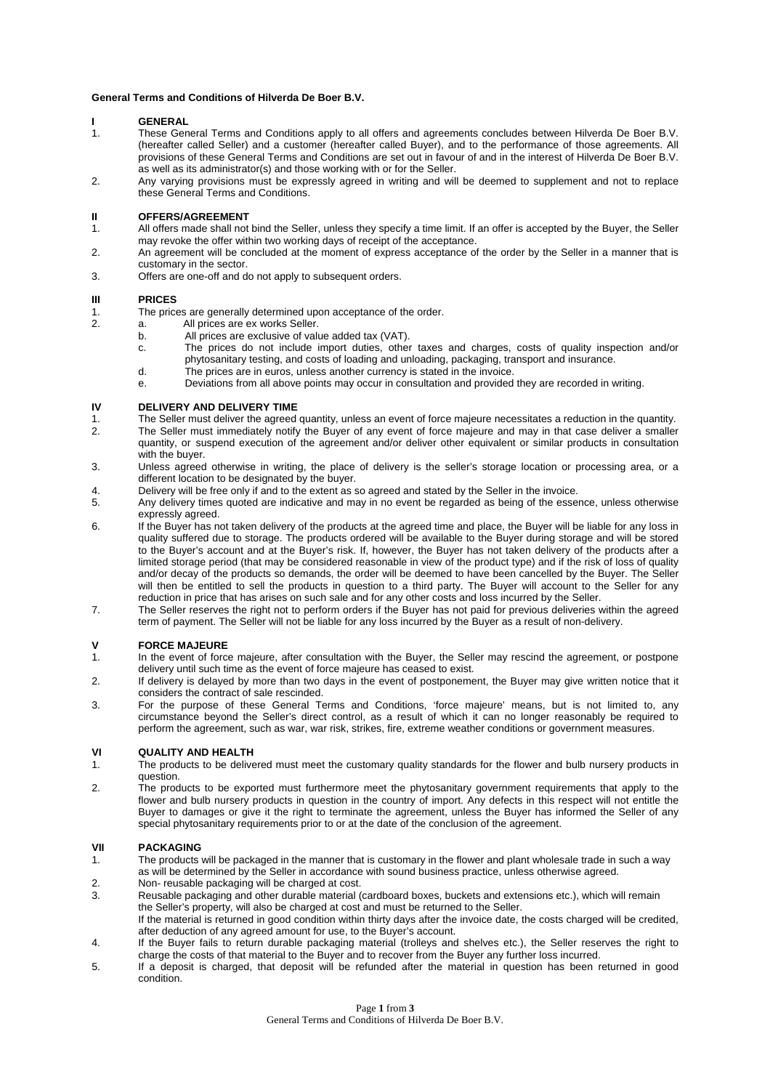### **General Terms and Conditions of Hilverda De Boer B.V.**

# **I GENERAL**

- 1. These General Terms and Conditions apply to all offers and agreements concludes between Hilverda De Boer B.V. (hereafter called Seller) and a customer (hereafter called Buyer), and to the performance of those agreements. All provisions of these General Terms and Conditions are set out in favour of and in the interest of Hilverda De Boer B.V. as well as its administrator(s) and those working with or for the Seller.
- 2. Any varying provisions must be expressly agreed in writing and will be deemed to supplement and not to replace these General Terms and Conditions.

# **II OFFERS/AGREEMENT**

- 1. All offers made shall not bind the Seller, unless they specify a time limit. If an offer is accepted by the Buyer, the Seller may revoke the offer within two working days of receipt of the acceptance.
- 2. An agreement will be concluded at the moment of express acceptance of the order by the Seller in a manner that is customary in the sector.
- 3. Offers are one-off and do not apply to subsequent orders.

# **III PRICES**

- 1. The prices are generally determined upon acceptance of the order.<br>2. a. All prices are ex works Seller.
- All prices are ex works Seller.
	- b. All prices are exclusive of value added tax (VAT).
		- c. The prices do not include import duties, other taxes and charges, costs of quality inspection and/or phytosanitary testing, and costs of loading and unloading, packaging, transport and insurance.
		- d. The prices are in euros, unless another currency is stated in the invoice.
	- e. Deviations from all above points may occur in consultation and provided they are recorded in writing.

# **IV DELIVERY AND DELIVERY TIME**

- 1. The Seller must deliver the agreed quantity, unless an event of force majeure necessitates a reduction in the quantity. 2. The Seller must immediately notify the Buyer of any event of force majeure and may in that case deliver a smaller quantity, or suspend execution of the agreement and/or deliver other equivalent or similar products in consultation with the buyer.
- 3. Unless agreed otherwise in writing, the place of delivery is the seller's storage location or processing area, or a different location to be designated by the buyer.
- 4. Delivery will be free only if and to the extent as so agreed and stated by the Seller in the invoice.
- 5. Any delivery times quoted are indicative and may in no event be regarded as being of the essence, unless otherwise expressly agreed.
- 6. If the Buyer has not taken delivery of the products at the agreed time and place, the Buyer will be liable for any loss in quality suffered due to storage. The products ordered will be available to the Buyer during storage and will be stored to the Buyer's account and at the Buyer's risk. If, however, the Buyer has not taken delivery of the products after a limited storage period (that may be considered reasonable in view of the product type) and if the risk of loss of quality and/or decay of the products so demands, the order will be deemed to have been cancelled by the Buyer. The Seller will then be entitled to sell the products in question to a third party. The Buyer will account to the Seller for any reduction in price that has arises on such sale and for any other costs and loss incurred by the Seller.
- 7. The Seller reserves the right not to perform orders if the Buyer has not paid for previous deliveries within the agreed term of payment. The Seller will not be liable for any loss incurred by the Buyer as a result of non-delivery.

# **V FORCE MAJEURE**

- 1. In the event of force majeure, after consultation with the Buyer, the Seller may rescind the agreement, or postpone delivery until such time as the event of force majeure has ceased to exist.
- 2. If delivery is delayed by more than two days in the event of postponement, the Buyer may give written notice that it considers the contract of sale rescinded.
- 3. For the purpose of these General Terms and Conditions, 'force majeure' means, but is not limited to, any circumstance beyond the Seller's direct control, as a result of which it can no longer reasonably be required to perform the agreement, such as war, war risk, strikes, fire, extreme weather conditions or government measures.

# **VI QUALITY AND HEALTH**

- 1. The products to be delivered must meet the customary quality standards for the flower and bulb nursery products in question.
- 2. The products to be exported must furthermore meet the phytosanitary government requirements that apply to the flower and bulb nursery products in question in the country of import. Any defects in this respect will not entitle the Buyer to damages or give it the right to terminate the agreement, unless the Buyer has informed the Seller of any special phytosanitary requirements prior to or at the date of the conclusion of the agreement.

# **VII PACKAGING**

- 1. The products will be packaged in the manner that is customary in the flower and plant wholesale trade in such a way as will be determined by the Seller in accordance with sound business practice, unless otherwise agreed.<br>2. Non- reusable packaging will be charged at cost.
- Non- reusable packaging will be charged at cost.
- 3. Reusable packaging and other durable material (cardboard boxes, buckets and extensions etc.), which will remain the Seller's property, will also be charged at cost and must be returned to the Seller. If the material is returned in good condition within thirty days after the invoice date, the costs charged will be credited, after deduction of any agreed amount for use, to the Buyer's account.
- 4. If the Buyer fails to return durable packaging material (trolleys and shelves etc.), the Seller reserves the right to charge the costs of that material to the Buyer and to recover from the Buyer any further loss incurred.
- 5. If a deposit is charged, that deposit will be refunded after the material in question has been returned in good condition.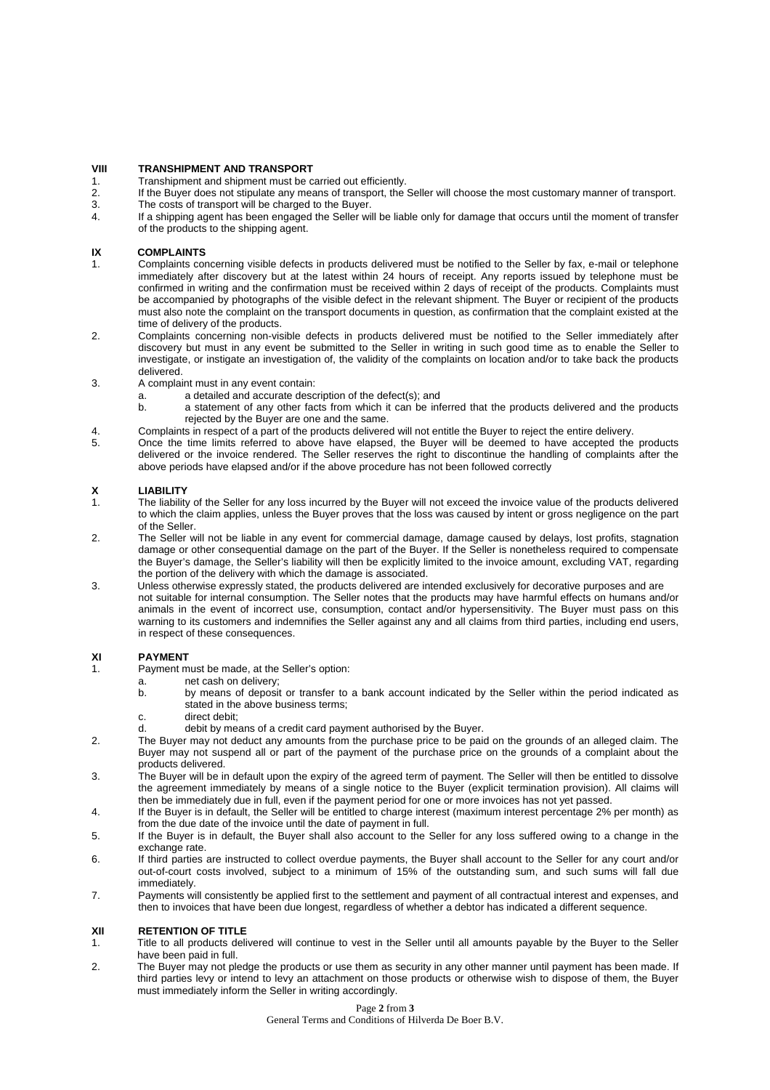# **VIII TRANSHIPMENT AND TRANSPORT**

- 1. Transhipment and shipment must be carried out efficiently.<br>2. If the Buver does not stipulate any means of transport, the
- 2. If the Buyer does not stipulate any means of transport, the Seller will choose the most customary manner of transport. 3. The costs of transport will be charged to the Buyer.
- 4. If a shipping agent has been engaged the Seller will be liable only for damage that occurs until the moment of transfer of the products to the shipping agent.

# **IX COMPLAINTS**

- 1. Complaints concerning visible defects in products delivered must be notified to the Seller by fax, e-mail or telephone immediately after discovery but at the latest within 24 hours of receipt. Any reports issued by telephone must be confirmed in writing and the confirmation must be received within 2 days of receipt of the products. Complaints must be accompanied by photographs of the visible defect in the relevant shipment. The Buyer or recipient of the products must also note the complaint on the transport documents in question, as confirmation that the complaint existed at the time of delivery of the products.
- 2. Complaints concerning non-visible defects in products delivered must be notified to the Seller immediately after discovery but must in any event be submitted to the Seller in writing in such good time as to enable the Seller to investigate, or instigate an investigation of, the validity of the complaints on location and/or to take back the products delivered.
- 3. A complaint must in any event contain:
	- a. a detailed and accurate description of the defect(s); and<br>b. a statement of any other facts from which it can be infor
	- a statement of any other facts from which it can be inferred that the products delivered and the products rejected by the Buyer are one and the same.
- 4. Complaints in respect of a part of the products delivered will not entitle the Buyer to reject the entire delivery.
- 5. Once the time limits referred to above have elapsed, the Buyer will be deemed to have accepted the products delivered or the invoice rendered. The Seller reserves the right to discontinue the handling of complaints after the above periods have elapsed and/or if the above procedure has not been followed correctly

# **X LIABILITY**<br>1 The liability

- The liability of the Seller for any loss incurred by the Buyer will not exceed the invoice value of the products delivered to which the claim applies, unless the Buyer proves that the loss was caused by intent or gross negligence on the part of the Seller.
- 2. The Seller will not be liable in any event for commercial damage, damage caused by delays, lost profits, stagnation damage or other consequential damage on the part of the Buyer. If the Seller is nonetheless required to compensate the Buyer's damage, the Seller's liability will then be explicitly limited to the invoice amount, excluding VAT, regarding the portion of the delivery with which the damage is associated.
- 3. Unless otherwise expressly stated, the products delivered are intended exclusively for decorative purposes and are not suitable for internal consumption. The Seller notes that the products may have harmful effects on humans and/or animals in the event of incorrect use, consumption, contact and/or hypersensitivity. The Buyer must pass on this warning to its customers and indemnifies the Seller against any and all claims from third parties, including end users, in respect of these consequences.

# **XI PAYMENT**

- 1. Payment must be made, at the Seller's option:
	- a. net cash on delivery:
	- b. by means of deposit or transfer to a bank account indicated by the Seller within the period indicated as stated in the above business terms;
	-
	- c. direct debit;<br>d. debit by mea debit by means of a credit card payment authorised by the Buyer.
- 2. The Buyer may not deduct any amounts from the purchase price to be paid on the grounds of an alleged claim. The Buyer may not suspend all or part of the payment of the purchase price on the grounds of a complaint about the products delivered.
- 3. The Buyer will be in default upon the expiry of the agreed term of payment. The Seller will then be entitled to dissolve the agreement immediately by means of a single notice to the Buyer (explicit termination provision). All claims will then be immediately due in full, even if the payment period for one or more invoices has not yet passed.
- 4. If the Buyer is in default, the Seller will be entitled to charge interest (maximum interest percentage 2% per month) as from the due date of the invoice until the date of payment in full.
- 5. If the Buyer is in default, the Buyer shall also account to the Seller for any loss suffered owing to a change in the exchange rate.
- 6. If third parties are instructed to collect overdue payments, the Buyer shall account to the Seller for any court and/or out-of-court costs involved, subject to a minimum of 15% of the outstanding sum, and such sums will fall due immediately.
- 7. Payments will consistently be applied first to the settlement and payment of all contractual interest and expenses, and then to invoices that have been due longest, regardless of whether a debtor has indicated a different sequence.

# **XII RETENTION OF TITLE**

- 1. Title to all products delivered will continue to vest in the Seller until all amounts payable by the Buyer to the Seller have been paid in full.
- 2. The Buyer may not pledge the products or use them as security in any other manner until payment has been made. If third parties levy or intend to levy an attachment on those products or otherwise wish to dispose of them, the Buyer must immediately inform the Seller in writing accordingly.

# Page **2** from **3**

General Terms and Conditions of Hilverda De Boer B.V.